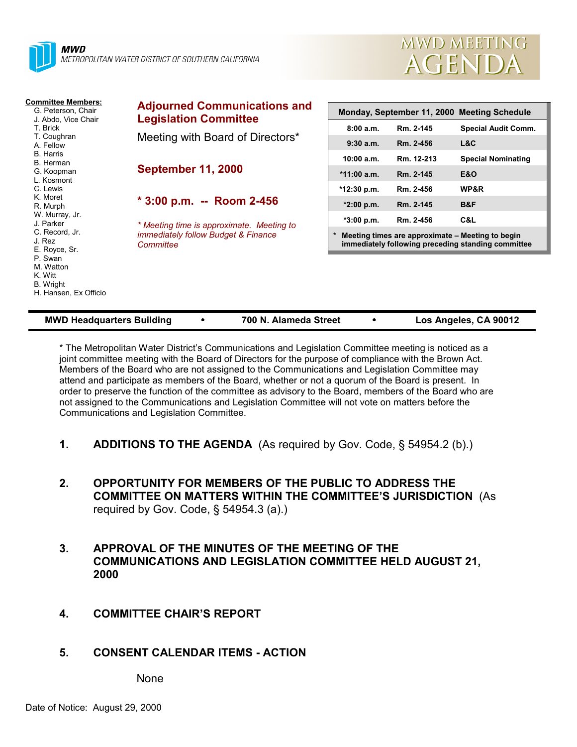| METROPOLITAN WATER DISTRICT OF SOUTHERN CALIFORNIA |
|----------------------------------------------------|
|                                                    |

**Adjourned Communications and**

Meeting with Board of Directors\*

**\* 3:00 p.m. -- Room 2-456**

*\* Meeting time is approximate. Meeting to immediately follow Budget & Finance*

**Legislation Committee**

**September 11, 2000**

*Committee*

**Committee Members:** G. Peterson, Chair J. Abdo, Vice Chair

T. Brick T. Coughran A. Fellow B. Harris B. Herman G. Koopman L. Kosmont C. Lewis K. Moret R. Murph W. Murray, Jr. J. Parker C. Record, Jr. J. Rez E. Royce, Sr. P. Swan M. Watton

| Monday, September 11, 2000 Meeting Schedule                                                                      |               |            |                            |
|------------------------------------------------------------------------------------------------------------------|---------------|------------|----------------------------|
|                                                                                                                  | 8:00a.m.      | Rm. 2-145  | <b>Special Audit Comm.</b> |
|                                                                                                                  | $9:30a$ m.    | Rm. 2-456  | L&C                        |
|                                                                                                                  | 10:00 a.m.    | Rm. 12-213 | <b>Special Nominating</b>  |
|                                                                                                                  | $*11:00$ a.m. | Rm. 2-145  | E&O                        |
|                                                                                                                  | *12:30 p.m.   | Rm. 2-456  | <b>WP&amp;R</b>            |
|                                                                                                                  | $*2:00$ p.m.  | Rm. 2-145  | B&F                        |
|                                                                                                                  | $*3:00 p.m.$  | Rm. 2-456  | C&L                        |
| $\ast$<br>Meeting times are approximate – Meeting to begin<br>immediately following preceding standing committee |               |            |                            |

**MWD MEETING** 

AGENDA

K. Witt B. Wright H. Hansen, Ex Officio **MWD Headquarters Building** ! **700 N. Alameda Street** ! **Los Angeles, CA 90012**

\* The Metropolitan Water District's Communications and Legislation Committee meeting is noticed as a joint committee meeting with the Board of Directors for the purpose of compliance with the Brown Act. Members of the Board who are not assigned to the Communications and Legislation Committee may attend and participate as members of the Board, whether or not a quorum of the Board is present. In order to preserve the function of the committee as advisory to the Board, members of the Board who are not assigned to the Communications and Legislation Committee will not vote on matters before the Communications and Legislation Committee.

- **1. ADDITIONS TO THE AGENDA** (As required by Gov. Code, § 54954.2 (b).)
- **2. OPPORTUNITY FOR MEMBERS OF THE PUBLIC TO ADDRESS THE COMMITTEE ON MATTERS WITHIN THE COMMITTEE'S JURISDICTION** (As required by Gov. Code, § 54954.3 (a).)
- **3. APPROVAL OF THE MINUTES OF THE MEETING OF THE COMMUNICATIONS AND LEGISLATION COMMITTEE HELD AUGUST 21, 2000**
- **4. COMMITTEE CHAIR'S REPORT**

# **5. CONSENT CALENDAR ITEMS - ACTION**

None